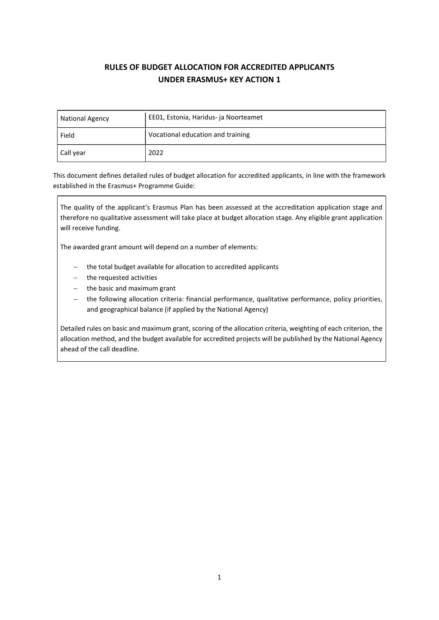# RULES OF BUDGET ALLOCATION FOR ACCREDITED APPLICANTS UNDER ERASMUS+ KEY ACTION 1

| <b>National Agency</b> | EE01, Estonia, Haridus- ja Noorteamet |  |
|------------------------|---------------------------------------|--|
| Field                  | Vocational education and training     |  |
| Call year              | 2022                                  |  |

This document defines detailed rules of budget allocation for accredited applicants, in line with the framework established in the Erasmus+ Programme Guide:

The quality of the applicant's Erasmus Plan has been assessed at the accreditation application stage and therefore no qualitative assessment will take place at budget allocation stage. Any eligible grant application will receive funding.

The awarded grant amount will depend on a number of elements:

- the total budget available for allocation to accredited applicants
- the requested activities
- $-$  the basic and maximum grant
- the following allocation criteria: financial performance, qualitative performance, policy priorities, and geographical balance (if applied by the National Agency)

Detailed rules on basic and maximum grant, scoring of the allocation criteria, weighting of each criterion, the allocation method, and the budget available for accredited projects will be published by the National Agency ahead of the call deadline.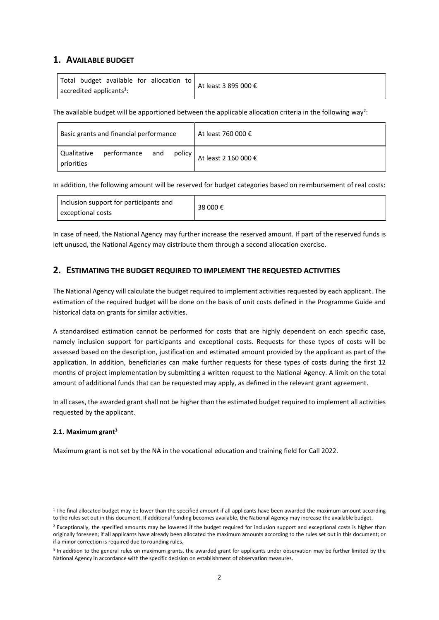# 1. AVAILABLE BUDGET

The available budget will be apportioned between the applicable allocation criteria in the following way<sup>2</sup>:

| Basic grants and financial performance                   | ' At least 760 000 € |
|----------------------------------------------------------|----------------------|
| performance and<br>Qualitative<br>policy  <br>priorities | At least 2 160 000 € |

In addition, the following amount will be reserved for budget categories based on reimbursement of real costs:

| Inclusion support for participants and<br>exceptional costs | 38 000 € |
|-------------------------------------------------------------|----------|
|                                                             |          |

In case of need, the National Agency may further increase the reserved amount. If part of the reserved funds is left unused, the National Agency may distribute them through a second allocation exercise.

# 2. ESTIMATING THE BUDGET REQUIRED TO IMPLEMENT THE REQUESTED ACTIVITIES

The National Agency will calculate the budget required to implement activities requested by each applicant. The estimation of the required budget will be done on the basis of unit costs defined in the Programme Guide and historical data on grants for similar activities.

A standardised estimation cannot be performed for costs that are highly dependent on each specific case, namely inclusion support for participants and exceptional costs. Requests for these types of costs will be assessed based on the description, justification and estimated amount provided by the applicant as part of the application. In addition, beneficiaries can make further requests for these types of costs during the first 12 months of project implementation by submitting a written request to the National Agency. A limit on the total amount of additional funds that can be requested may apply, as defined in the relevant grant agreement.

In all cases, the awarded grant shall not be higher than the estimated budget required to implement all activities requested by the applicant.

#### 2.1. Maximum grant $3$

Maximum grant is not set by the NA in the vocational education and training field for Call 2022.

<sup>&</sup>lt;sup>1</sup> The final allocated budget may be lower than the specified amount if all applicants have been awarded the maximum amount according to the rules set out in this document. If additional funding becomes available, the National Agency may increase the available budget.

<sup>&</sup>lt;sup>2</sup> Exceptionally, the specified amounts may be lowered if the budget required for inclusion support and exceptional costs is higher than originally foreseen; if all applicants have already been allocated the maximum amounts according to the rules set out in this document; or if a minor correction is required due to rounding rules.

<sup>&</sup>lt;sup>3</sup> In addition to the general rules on maximum grants, the awarded grant for applicants under observation may be further limited by the National Agency in accordance with the specific decision on establishment of observation measures.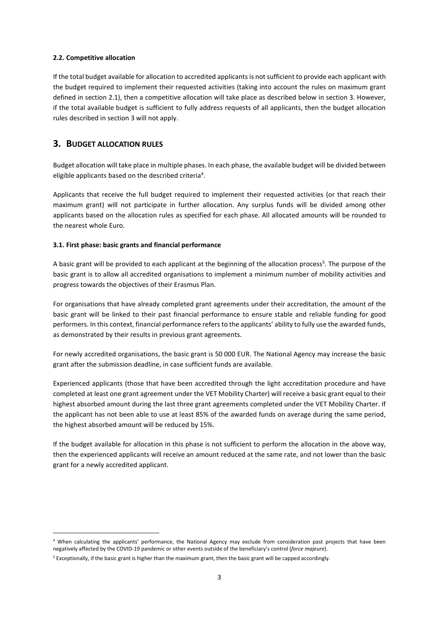#### 2.2. Competitive allocation

If the total budget available for allocation to accredited applicants is not sufficient to provide each applicant with the budget required to implement their requested activities (taking into account the rules on maximum grant defined in section 2.1), then a competitive allocation will take place as described below in section 3. However, if the total available budget is sufficient to fully address requests of all applicants, then the budget allocation rules described in section 3 will not apply.

# 3. BUDGET ALLOCATION RULES

Budget allocation will take place in multiple phases. In each phase, the available budget will be divided between eligible applicants based on the described criteria<sup>4</sup>.

Applicants that receive the full budget required to implement their requested activities (or that reach their maximum grant) will not participate in further allocation. Any surplus funds will be divided among other applicants based on the allocation rules as specified for each phase. All allocated amounts will be rounded to the nearest whole Euro.

### 3.1. First phase: basic grants and financial performance

A basic grant will be provided to each applicant at the beginning of the allocation process<sup>5</sup>. The purpose of the basic grant is to allow all accredited organisations to implement a minimum number of mobility activities and progress towards the objectives of their Erasmus Plan.

For organisations that have already completed grant agreements under their accreditation, the amount of the basic grant will be linked to their past financial performance to ensure stable and reliable funding for good performers. In this context, financial performance refers to the applicants' ability to fully use the awarded funds, as demonstrated by their results in previous grant agreements.

For newly accredited organisations, the basic grant is 50 000 EUR. The National Agency may increase the basic grant after the submission deadline, in case sufficient funds are available.

Experienced applicants (those that have been accredited through the light accreditation procedure and have completed at least one grant agreement under the VET Mobility Charter) will receive a basic grant equal to their highest absorbed amount during the last three grant agreements completed under the VET Mobility Charter. If the applicant has not been able to use at least 85% of the awarded funds on average during the same period, the highest absorbed amount will be reduced by 15%.

If the budget available for allocation in this phase is not sufficient to perform the allocation in the above way, then the experienced applicants will receive an amount reduced at the same rate, and not lower than the basic grant for a newly accredited applicant.

<sup>4</sup> When calculating the applicants' performance, the National Agency may exclude from consideration past projects that have been negatively affected by the COVID-19 pandemic or other events outside of the beneficiary's control (force majeure).

<sup>&</sup>lt;sup>5</sup> Exceptionally, if the basic grant is higher than the maximum grant, then the basic grant will be capped accordingly.